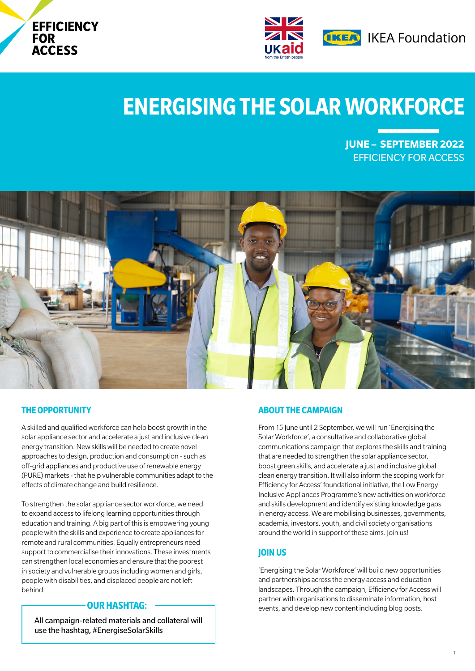



# **ENERGISING THE SOLAR WORKFORCE**

**JUNE – SEPTEMBER 2022** EFFICIENCY FOR ACCESS



# **THE OPPORTUNITY**

A skilled and qualified workforce can help boost growth in the solar appliance sector and accelerate a just and inclusive clean energy transition. New skills will be needed to create novel approaches to design, production and consumption - such as off-grid appliances and productive use of renewable energy (PURE) markets - that help vulnerable communities adapt to the effects of climate change and build resilience.

To strengthen the solar appliance sector workforce, we need to expand access to lifelong learning opportunities through education and training. A big part of this is empowering young people with the skills and experience to create appliances for remote and rural communities. Equally entrepreneurs need support to commercialise their innovations. These investments can strengthen local economies and ensure that the poorest in society and vulnerable groups including women and girls, people with disabilities, and displaced people are not left behind.

## **OUR HASHTAG:**

All campaign-related materials and collateral will use the hashtag, #EnergiseSolarSkills

# **ABOUT THE CAMPAIGN**

From 15 June until 2 September, we will run 'Energising the Solar Workforce', a consultative and collaborative global communications campaign that explores the skills and training that are needed to strengthen the solar appliance sector, boost green skills, and accelerate a just and inclusive global clean energy transition. It will also inform the scoping work for Efficiency for Access' foundational initiative, the Low Energy Inclusive Appliances Programme's new activities on workforce and skills development and identify existing knowledge gaps in energy access. We are mobilising businesses, governments, academia, investors, youth, and civil society organisations around the world in support of these aims. Join us!

### **JOIN US**

'Energising the Solar Workforce' will build new opportunities and partnerships across the energy access and education landscapes. Through the campaign, Efficiency for Access will partner with organisations to disseminate information, host events, and develop new content including blog posts.